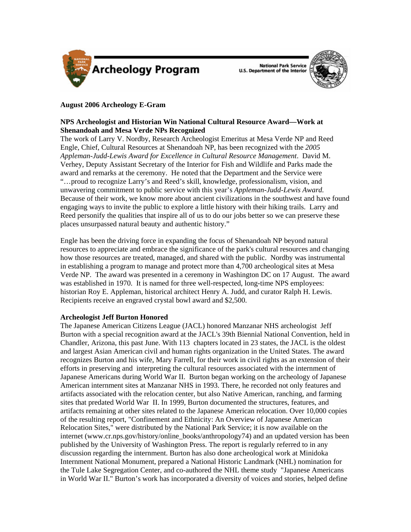

**National Park Service U.S. Department of the Interior** 



## **August 2006 Archeology E-Gram**

# **NPS Archeologist and Historian Win National Cultural Resource Award—Work at Shenandoah and Mesa Verde NPs Recognized**

The work of Larry V. Nordby, Research Archeologist Emeritus at Mesa Verde NP and Reed Engle, Chief, Cultural Resources at Shenandoah NP, has been recognized with the *2005 Appleman-Judd-Lewis Award for Excellence in Cultural Resource Management*. David M. Verhey, Deputy Assistant Secretary of the Interior for Fish and Wildlife and Parks made the award and remarks at the ceremony. He noted that the Department and the Service were "…proud to recognize Larry's and Reed's skill, knowledge, professionalism, vision, and unwavering commitment to public service with this year's *Appleman-Judd-Lewis Award.*  Because of their work, we know more about ancient civilizations in the southwest and have found engaging ways to invite the public to explore a little history with their hiking trails. Larry and Reed personify the qualities that inspire all of us to do our jobs better so we can preserve these places unsurpassed natural beauty and authentic history."

Engle has been the driving force in expanding the focus of Shenandoah NP beyond natural resources to appreciate and embrace the significance of the park's cultural resources and changing how those resources are treated, managed, and shared with the public. Nordby was instrumental in establishing a program to manage and protect more than 4,700 archeological sites at Mesa Verde NP. The award was presented in a ceremony in Washington DC on 17 August. The award was established in 1970. It is named for three well-respected, long-time NPS employees: historian Roy E. Appleman, historical architect Henry A. Judd, and curator Ralph H. Lewis. Recipients receive an engraved crystal bowl award and \$2,500.

## **Archeologist Jeff Burton Honored**

The Japanese American Citizens League (JACL) honored Manzanar NHS archeologist Jeff Burton with a special recognition award at the JACL's 39th Biennial National Convention, held in Chandler, Arizona, this past June. With 113 chapters located in 23 states, the JACL is the oldest and largest Asian American civil and human rights organization in the United States. The award recognizes Burton and his wife, Mary Farrell, for their work in civil rights as an extension of their efforts in preserving and interpreting the cultural resources associated with the internment of Japanese Americans during World War II. Burton began working on the archeology of Japanese American internment sites at Manzanar NHS in 1993. There, he recorded not only features and artifacts associated with the relocation center, but also Native American, ranching, and farming sites that predated World War II. In 1999, Burton documented the structures, features, and artifacts remaining at other sites related to the Japanese American relocation. Over 10,000 copies of the resulting report, "Confinement and Ethnicity: An Overview of Japanese American Relocation Sites," were distributed by the National Park Service; it is now available on the internet [\(www.cr.nps.gov/history/online\\_books/anthropology74](http://www.cr.nps.gov/history/online_books/anthropology74/)) and an updated version has been published by the University of Washington Press. The report is regularly referred to in any discussion regarding the internment. Burton has also done archeological work at Minidoka Internment National Monument, prepared a National Historic Landmark (NHL) nomination for the Tule Lake Segregation Center, and co-authored the NHL theme study "Japanese Americans in World War II." Burton's work has incorporated a diversity of voices and stories, helped define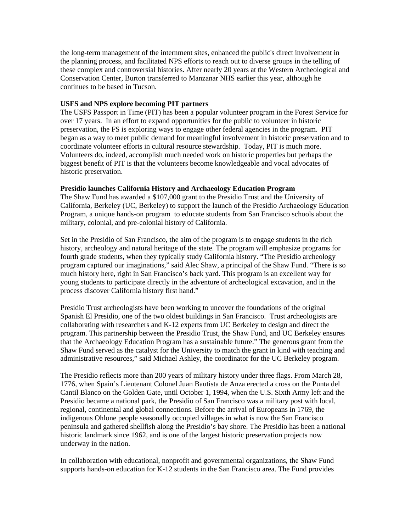the long-term management of the internment sites, enhanced the public's direct involvement in the planning process, and facilitated NPS efforts to reach out to diverse groups in the telling of these complex and controversial histories. After nearly 20 years at the Western Archeological and Conservation Center, Burton transferred to Manzanar NHS earlier this year, although he continues to be based in Tucson.

### **USFS and NPS explore becoming PIT partners**

The USFS Passport in Time (PIT) has been a popular volunteer program in the Forest Service for over 17 years. In an effort to expand opportunities for the public to volunteer in historic preservation, the FS is exploring ways to engage other federal agencies in the program. PIT began as a way to meet public demand for meaningful involvement in historic preservation and to coordinate volunteer efforts in cultural resource stewardship. Today, PIT is much more. Volunteers do, indeed, accomplish much needed work on historic properties but perhaps the biggest benefit of PIT is that the volunteers become knowledgeable and vocal advocates of historic preservation.

### **Presidio launches California History and Archaeology Education Program**

The Shaw Fund has awarded a \$107,000 grant to the Presidio Trust and the University of California, Berkeley (UC, Berkeley) to support the launch of the Presidio Archaeology Education Program, a unique hands-on program to educate students from San Francisco schools about the military, colonial, and pre-colonial history of California.

Set in the Presidio of San Francisco, the aim of the program is to engage students in the rich history, archeology and natural heritage of the state. The program will emphasize programs for fourth grade students, when they typically study California history. "The Presidio archeology program captured our imaginations," said Alec Shaw, a principal of the Shaw Fund. "There is so much history here, right in San Francisco's back yard. This program is an excellent way for young students to participate directly in the adventure of archeological excavation, and in the process discover California history first hand."

Presidio Trust archeologists have been working to uncover the foundations of the original Spanish El Presidio, one of the two oldest buildings in San Francisco. Trust archeologists are collaborating with researchers and K-12 experts from UC Berkeley to design and direct the program. This partnership between the Presidio Trust, the Shaw Fund, and UC Berkeley ensures that the Archaeology Education Program has a sustainable future." The generous grant from the Shaw Fund served as the catalyst for the University to match the grant in kind with teaching and administrative resources," said Michael Ashley, the coordinator for the UC Berkeley program.

The Presidio reflects more than 200 years of military history under three flags. From March 28, 1776, when Spain's Lieutenant Colonel Juan Bautista de Anza erected a cross on the Punta del Cantil Blanco on the Golden Gate, until October 1, 1994, when the U.S. Sixth Army left and the Presidio became a national park, the Presidio of San Francisco was a military post with local, regional, continental and global connections. Before the arrival of Europeans in 1769, the indigenous Ohlone people seasonally occupied villages in what is now the San Francisco peninsula and gathered shellfish along the Presidio's bay shore. The Presidio has been a national historic landmark since 1962, and is one of the largest historic preservation projects now underway in the nation.

In collaboration with educational, nonprofit and governmental organizations, the Shaw Fund supports hands-on education for K-12 students in the San Francisco area. The Fund provides